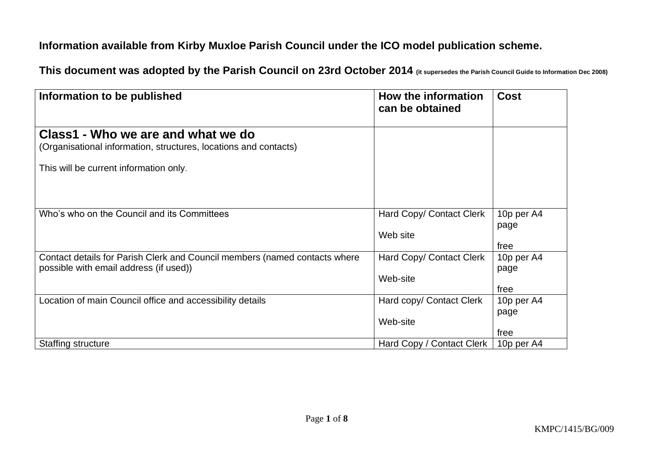## **Information available from Kirby Muxloe Parish Council under the ICO model publication scheme.**

**This document was adopted by the Parish Council on 23rd October 2014 (it supersedes the Parish Council Guide to Information Dec 2008)**

| Information to be published                                                                                          | How the information<br>can be obtained | <b>Cost</b>                |
|----------------------------------------------------------------------------------------------------------------------|----------------------------------------|----------------------------|
| Class1 - Who we are and what we do<br>(Organisational information, structures, locations and contacts)               |                                        |                            |
| This will be current information only.                                                                               |                                        |                            |
| Who's who on the Council and its Committees                                                                          | Hard Copy/ Contact Clerk<br>Web site   | 10p per A4<br>page<br>free |
| Contact details for Parish Clerk and Council members (named contacts where<br>possible with email address (if used)) | Hard Copy/ Contact Clerk<br>Web-site   | 10p per A4<br>page<br>free |
| Location of main Council office and accessibility details                                                            | Hard copy/ Contact Clerk<br>Web-site   | 10p per A4<br>page<br>free |
| Staffing structure                                                                                                   | Hard Copy / Contact Clerk              | 10p per A4                 |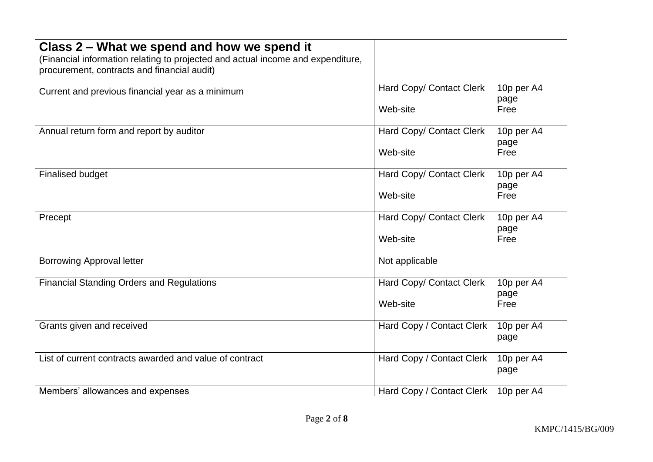| Class 2 – What we spend and how we spend it<br>(Financial information relating to projected and actual income and expenditure,<br>procurement, contracts and financial audit) |                           |                    |
|-------------------------------------------------------------------------------------------------------------------------------------------------------------------------------|---------------------------|--------------------|
| Current and previous financial year as a minimum                                                                                                                              | Hard Copy/ Contact Clerk  | 10p per A4         |
|                                                                                                                                                                               | Web-site                  | page<br>Free       |
| Annual return form and report by auditor                                                                                                                                      | Hard Copy/ Contact Clerk  | 10p per A4<br>page |
|                                                                                                                                                                               | Web-site                  | Free               |
| <b>Finalised budget</b>                                                                                                                                                       | Hard Copy/ Contact Clerk  | 10p per A4<br>page |
|                                                                                                                                                                               | Web-site                  | Free               |
| Precept                                                                                                                                                                       | Hard Copy/ Contact Clerk  | 10p per A4<br>page |
|                                                                                                                                                                               | Web-site                  | Free               |
| <b>Borrowing Approval letter</b>                                                                                                                                              | Not applicable            |                    |
| <b>Financial Standing Orders and Regulations</b>                                                                                                                              | Hard Copy/ Contact Clerk  | 10p per A4<br>page |
|                                                                                                                                                                               | Web-site                  | Free               |
| Grants given and received                                                                                                                                                     | Hard Copy / Contact Clerk | 10p per A4<br>page |
| List of current contracts awarded and value of contract                                                                                                                       | Hard Copy / Contact Clerk | 10p per A4<br>page |
| Members' allowances and expenses                                                                                                                                              | Hard Copy / Contact Clerk | 10p per A4         |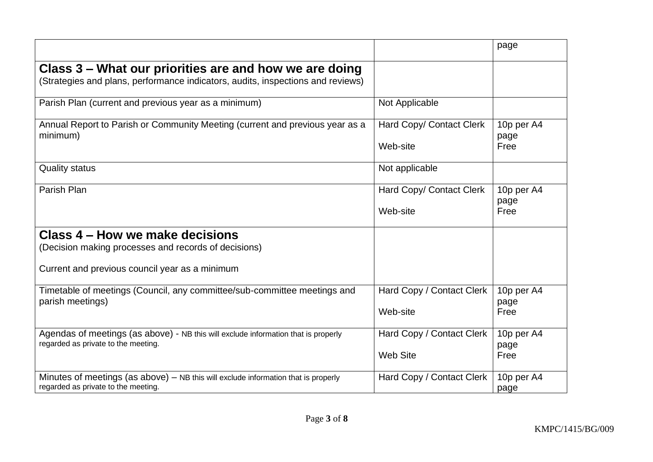|                                                                                                                                           |                                              | page                       |
|-------------------------------------------------------------------------------------------------------------------------------------------|----------------------------------------------|----------------------------|
| Class 3 – What our priorities are and how we are doing<br>(Strategies and plans, performance indicators, audits, inspections and reviews) |                                              |                            |
| Parish Plan (current and previous year as a minimum)                                                                                      | Not Applicable                               |                            |
| Annual Report to Parish or Community Meeting (current and previous year as a<br>minimum)                                                  | Hard Copy/ Contact Clerk<br>Web-site         | 10p per A4<br>page<br>Free |
| <b>Quality status</b>                                                                                                                     | Not applicable                               |                            |
| Parish Plan                                                                                                                               | Hard Copy/ Contact Clerk<br>Web-site         | 10p per A4<br>page<br>Free |
| Class 4 – How we make decisions                                                                                                           |                                              |                            |
| (Decision making processes and records of decisions)                                                                                      |                                              |                            |
| Current and previous council year as a minimum                                                                                            |                                              |                            |
| Timetable of meetings (Council, any committee/sub-committee meetings and<br>parish meetings)                                              | Hard Copy / Contact Clerk<br>Web-site        | 10p per A4<br>page<br>Free |
| Agendas of meetings (as above) - NB this will exclude information that is properly<br>regarded as private to the meeting.                 | Hard Copy / Contact Clerk<br><b>Web Site</b> | 10p per A4<br>page<br>Free |
| Minutes of meetings (as above) – NB this will exclude information that is properly<br>regarded as private to the meeting.                 | Hard Copy / Contact Clerk                    | 10p per A4<br>page         |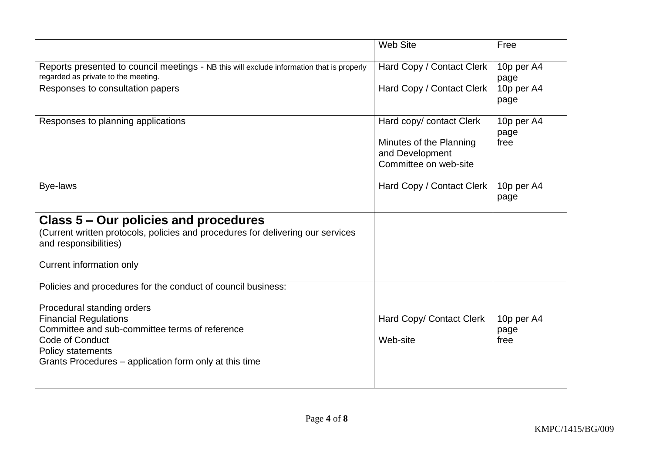|                                                                                                                                                                                                                                                                                | <b>Web Site</b>                                                                                 | Free                       |
|--------------------------------------------------------------------------------------------------------------------------------------------------------------------------------------------------------------------------------------------------------------------------------|-------------------------------------------------------------------------------------------------|----------------------------|
| Reports presented to council meetings - NB this will exclude information that is properly<br>regarded as private to the meeting.                                                                                                                                               | Hard Copy / Contact Clerk                                                                       | 10p per A4<br>page         |
| Responses to consultation papers                                                                                                                                                                                                                                               | Hard Copy / Contact Clerk                                                                       | 10p per A4<br>page         |
| Responses to planning applications                                                                                                                                                                                                                                             | Hard copy/ contact Clerk<br>Minutes of the Planning<br>and Development<br>Committee on web-site | 10p per A4<br>page<br>free |
| Bye-laws                                                                                                                                                                                                                                                                       | Hard Copy / Contact Clerk                                                                       | 10p per A4<br>page         |
| Class 5 – Our policies and procedures<br>(Current written protocols, policies and procedures for delivering our services<br>and responsibilities)<br>Current information only                                                                                                  |                                                                                                 |                            |
| Policies and procedures for the conduct of council business:<br>Procedural standing orders<br><b>Financial Regulations</b><br>Committee and sub-committee terms of reference<br>Code of Conduct<br>Policy statements<br>Grants Procedures – application form only at this time | Hard Copy/ Contact Clerk<br>Web-site                                                            | 10p per A4<br>page<br>free |
|                                                                                                                                                                                                                                                                                |                                                                                                 |                            |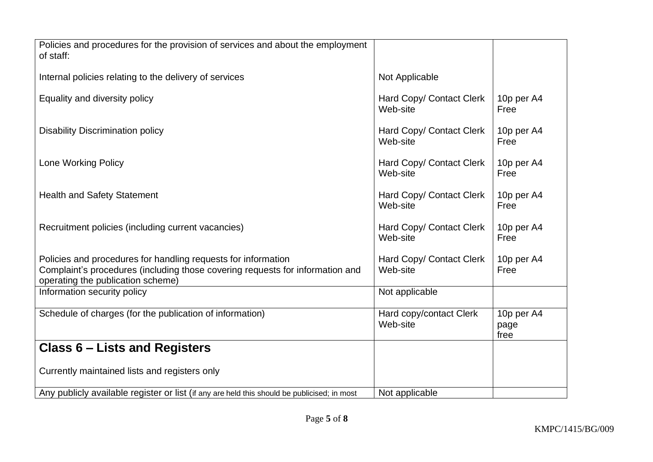| Policies and procedures for the provision of services and about the employment<br>of staff:                                                                                         |                                      |                            |
|-------------------------------------------------------------------------------------------------------------------------------------------------------------------------------------|--------------------------------------|----------------------------|
|                                                                                                                                                                                     |                                      |                            |
| Internal policies relating to the delivery of services                                                                                                                              | Not Applicable                       |                            |
| Equality and diversity policy                                                                                                                                                       | Hard Copy/ Contact Clerk<br>Web-site | 10p per A4<br>Free         |
| <b>Disability Discrimination policy</b>                                                                                                                                             | Hard Copy/ Contact Clerk<br>Web-site | 10p per A4<br>Free         |
| <b>Lone Working Policy</b>                                                                                                                                                          | Hard Copy/ Contact Clerk<br>Web-site | 10p per A4<br>Free         |
| <b>Health and Safety Statement</b>                                                                                                                                                  | Hard Copy/ Contact Clerk<br>Web-site | 10p per A4<br>Free         |
| Recruitment policies (including current vacancies)                                                                                                                                  | Hard Copy/ Contact Clerk<br>Web-site | 10p per A4<br>Free         |
| Policies and procedures for handling requests for information<br>Complaint's procedures (including those covering requests for information and<br>operating the publication scheme) | Hard Copy/ Contact Clerk<br>Web-site | 10p per A4<br>Free         |
| Information security policy                                                                                                                                                         | Not applicable                       |                            |
| Schedule of charges (for the publication of information)                                                                                                                            | Hard copy/contact Clerk<br>Web-site  | 10p per A4<br>page<br>free |
| <b>Class 6 - Lists and Registers</b>                                                                                                                                                |                                      |                            |
| Currently maintained lists and registers only                                                                                                                                       |                                      |                            |
| Any publicly available register or list (if any are held this should be publicised; in most                                                                                         | Not applicable                       |                            |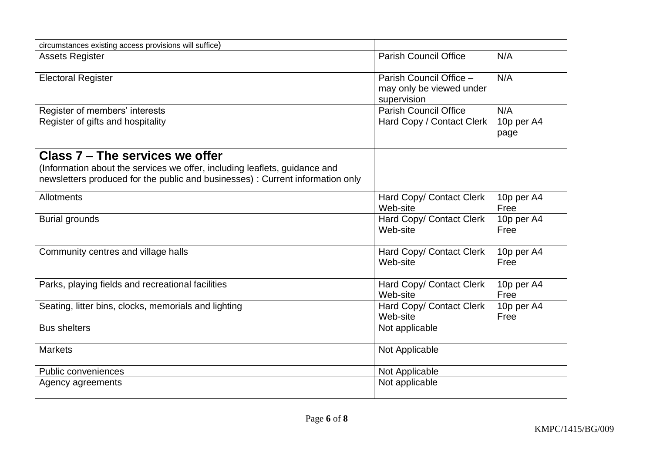| circumstances existing access provisions will suffice)                                                                                                      |                                                                    |                    |
|-------------------------------------------------------------------------------------------------------------------------------------------------------------|--------------------------------------------------------------------|--------------------|
| <b>Assets Register</b>                                                                                                                                      | <b>Parish Council Office</b>                                       | N/A                |
| <b>Electoral Register</b>                                                                                                                                   | Parish Council Office -<br>may only be viewed under<br>supervision | N/A                |
| Register of members' interests                                                                                                                              | <b>Parish Council Office</b>                                       | N/A                |
| Register of gifts and hospitality                                                                                                                           | Hard Copy / Contact Clerk                                          | 10p per A4<br>page |
| Class 7 – The services we offer                                                                                                                             |                                                                    |                    |
| (Information about the services we offer, including leaflets, guidance and<br>newsletters produced for the public and businesses): Current information only |                                                                    |                    |
| Allotments                                                                                                                                                  | Hard Copy/ Contact Clerk<br>Web-site                               | 10p per A4<br>Free |
| <b>Burial grounds</b>                                                                                                                                       | Hard Copy/ Contact Clerk<br>Web-site                               | 10p per A4<br>Free |
| Community centres and village halls                                                                                                                         | Hard Copy/ Contact Clerk<br>Web-site                               | 10p per A4<br>Free |
| Parks, playing fields and recreational facilities                                                                                                           | Hard Copy/ Contact Clerk<br>Web-site                               | 10p per A4<br>Free |
| Seating, litter bins, clocks, memorials and lighting                                                                                                        | Hard Copy/ Contact Clerk<br>Web-site                               | 10p per A4<br>Free |
| <b>Bus shelters</b>                                                                                                                                         | Not applicable                                                     |                    |
| <b>Markets</b>                                                                                                                                              | Not Applicable                                                     |                    |
| <b>Public conveniences</b>                                                                                                                                  | Not Applicable                                                     |                    |
| Agency agreements                                                                                                                                           | Not applicable                                                     |                    |